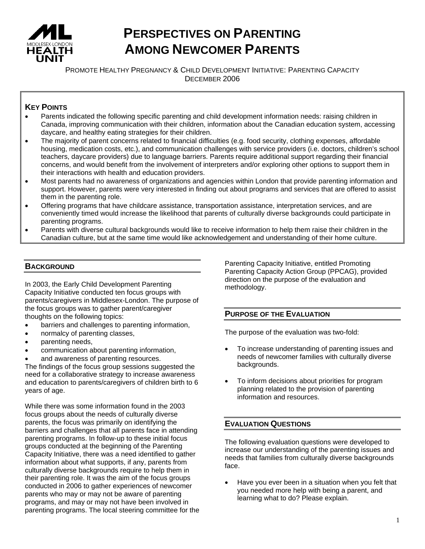

# **PERSPECTIVES ON PARENTING AMONG NEWCOMER PARENTS**

PROMOTE HEALTHY PREGNANCY & CHILD DEVELOPMENT INITIATIVE: PARENTING CAPACITY DECEMBER 2006

# **KEY POINTS**

- Parents indicated the following specific parenting and child development information needs: raising children in Canada, improving communication with their children, information about the Canadian education system, accessing daycare, and healthy eating strategies for their children.
- The majority of parent concerns related to financial difficulties (e.g. food security, clothing expenses, affordable housing, medication costs, etc.), and communication challenges with service providers (i.e. doctors, children's school teachers, daycare providers) due to language barriers. Parents require additional support regarding their financial concerns, and would benefit from the involvement of interpreters and/or exploring other options to support them in their interactions with health and education providers.
- Most parents had no awareness of organizations and agencies within London that provide parenting information and support. However, parents were very interested in finding out about programs and services that are offered to assist them in the parenting role.
- Offering programs that have childcare assistance, transportation assistance, interpretation services, and are conveniently timed would increase the likelihood that parents of culturally diverse backgrounds could participate in parenting programs.
- Parents with diverse cultural backgrounds would like to receive information to help them raise their children in the Canadian culture, but at the same time would like acknowledgement and understanding of their home culture.

# **BACKGROUND**

In 2003, the Early Child Development Parenting Capacity Initiative conducted ten focus groups with parents/caregivers in Middlesex-London. The purpose of the focus groups was to gather parent/caregiver thoughts on the following topics:

- barriers and challenges to parenting information,
- normalcy of parenting classes,
- parenting needs,
- communication about parenting information,
- and awareness of parenting resources.

The findings of the focus group sessions suggested the need for a collaborative strategy to increase awareness and education to parents/caregivers of children birth to 6 years of age.

While there was some information found in the 2003 focus groups about the needs of culturally diverse parents, the focus was primarily on identifying the barriers and challenges that all parents face in attending parenting programs. In follow-up to these initial focus groups conducted at the beginning of the Parenting Capacity Initiative, there was a need identified to gather information about what supports, if any, parents from culturally diverse backgrounds require to help them in their parenting role. It was the aim of the focus groups conducted in 2006 to gather experiences of newcomer parents who may or may not be aware of parenting programs, and may or may not have been involved in parenting programs. The local steering committee for the

Parenting Capacity Initiative, entitled Promoting Parenting Capacity Action Group (PPCAG), provided direction on the purpose of the evaluation and methodology.

# **PURPOSE OF THE EVALUATION**

The purpose of the evaluation was two-fold:

- To increase understanding of parenting issues and needs of newcomer families with culturally diverse backgrounds.
- To inform decisions about priorities for program planning related to the provision of parenting information and resources.

## **EVALUATION QUESTIONS**

The following evaluation questions were developed to increase our understanding of the parenting issues and needs that families from culturally diverse backgrounds face.

• Have you ever been in a situation when you felt that you needed more help with being a parent, and learning what to do? Please explain.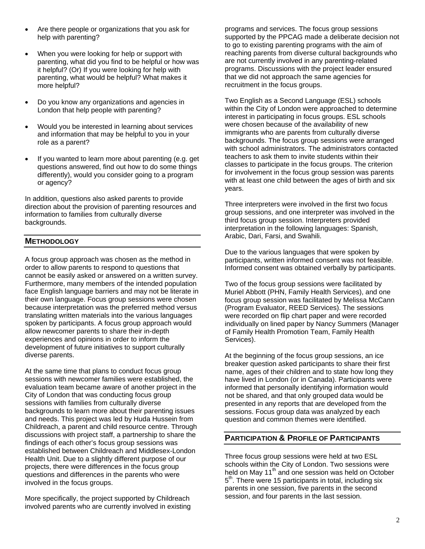- Are there people or organizations that you ask for help with parenting?
- When you were looking for help or support with parenting, what did you find to be helpful or how was it helpful? (Or) If you were looking for help with parenting, what would be helpful? What makes it more helpful?
- Do you know any organizations and agencies in London that help people with parenting?
- Would you be interested in learning about services and information that may be helpful to you in your role as a parent?
- If you wanted to learn more about parenting (e.g. get questions answered, find out how to do some things differently), would you consider going to a program or agency?

In addition, questions also asked parents to provide direction about the provision of parenting resources and information to families from culturally diverse backgrounds.

# **METHODOLOGY**

A focus group approach was chosen as the method in order to allow parents to respond to questions that cannot be easily asked or answered on a written survey. Furthermore, many members of the intended population face English language barriers and may not be literate in their own language. Focus group sessions were chosen because interpretation was the preferred method versus translating written materials into the various languages spoken by participants. A focus group approach would allow newcomer parents to share their in-depth experiences and opinions in order to inform the development of future initiatives to support culturally diverse parents.

At the same time that plans to conduct focus group sessions with newcomer families were established, the evaluation team became aware of another project in the City of London that was conducting focus group sessions with families from culturally diverse backgrounds to learn more about their parenting issues and needs. This project was led by Huda Hussein from Childreach, a parent and child resource centre. Through discussions with project staff, a partnership to share the findings of each other's focus group sessions was established between Childreach and Middlesex-London Health Unit. Due to a slightly different purpose of our projects, there were differences in the focus group questions and differences in the parents who were involved in the focus groups.

More specifically, the project supported by Childreach involved parents who are currently involved in existing

programs and services. The focus group sessions supported by the PPCAG made a deliberate decision not to go to existing parenting programs with the aim of reaching parents from diverse cultural backgrounds who are not currently involved in any parenting-related programs. Discussions with the project leader ensured that we did not approach the same agencies for recruitment in the focus groups.

Two English as a Second Language (ESL) schools within the City of London were approached to determine interest in participating in focus groups. ESL schools were chosen because of the availability of new immigrants who are parents from culturally diverse backgrounds. The focus group sessions were arranged with school administrators. The administrators contacted teachers to ask them to invite students within their classes to participate in the focus groups. The criterion for involvement in the focus group session was parents with at least one child between the ages of birth and six years.

Three interpreters were involved in the first two focus group sessions, and one interpreter was involved in the third focus group session. Interpreters provided interpretation in the following languages: Spanish, Arabic, Dari, Farsi, and Swahili.

Due to the various languages that were spoken by participants, written informed consent was not feasible. Informed consent was obtained verbally by participants.

Two of the focus group sessions were facilitated by Muriel Abbott (PHN, Family Health Services), and one focus group session was facilitated by Melissa McCann (Program Evaluator, REED Services). The sessions were recorded on flip chart paper and were recorded individually on lined paper by Nancy Summers (Manager of Family Health Promotion Team, Family Health Services).

At the beginning of the focus group sessions, an ice breaker question asked participants to share their first name, ages of their children and to state how long they have lived in London (or in Canada). Participants were informed that personally identifying information would not be shared, and that only grouped data would be presented in any reports that are developed from the sessions. Focus group data was analyzed by each question and common themes were identified.

## **PARTICIPATION & PROFILE OF PARTICIPANTS**

Three focus group sessions were held at two ESL schools within the City of London. Two sessions were held on May 11<sup>th</sup> and one session was held on October  $5<sup>th</sup>$ . There were 15 participants in total, including six parents in one session, five parents in the second session, and four parents in the last session.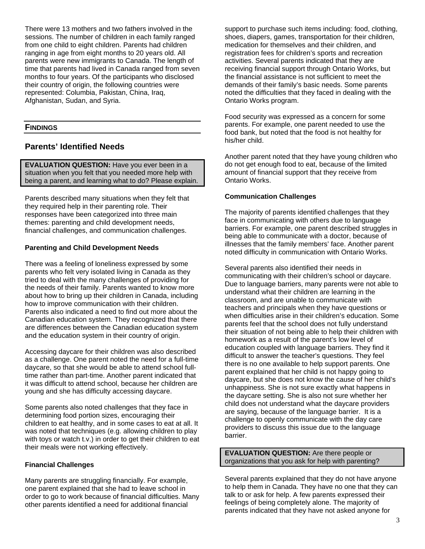There were 13 mothers and two fathers involved in the sessions. The number of children in each family ranged from one child to eight children. Parents had children ranging in age from eight months to 20 years old. All parents were new immigrants to Canada. The length of time that parents had lived in Canada ranged from seven months to four years. Of the participants who disclosed their country of origin, the following countries were represented: Columbia, Pakistan, China, Iraq, Afghanistan, Sudan, and Syria.

## **FINDINGS**

## **Parents' Identified Needs**

**EVALUATION QUESTION:** Have you ever been in a situation when you felt that you needed more help with being a parent, and learning what to do? Please explain.

Parents described many situations when they felt that they required help in their parenting role. Their responses have been categorized into three main themes: parenting and child development needs, financial challenges, and communication challenges.

#### **Parenting and Child Development Needs**

There was a feeling of loneliness expressed by some parents who felt very isolated living in Canada as they tried to deal with the many challenges of providing for the needs of their family. Parents wanted to know more about how to bring up their children in Canada, including how to improve communication with their children. Parents also indicated a need to find out more about the Canadian education system. They recognized that there are differences between the Canadian education system and the education system in their country of origin.

Accessing daycare for their children was also described as a challenge. One parent noted the need for a full-time daycare, so that she would be able to attend school fulltime rather than part-time. Another parent indicated that it was difficult to attend school, because her children are young and she has difficulty accessing daycare.

Some parents also noted challenges that they face in determining food portion sizes, encouraging their children to eat healthy, and in some cases to eat at all. It was noted that techniques (e.g. allowing children to play with toys or watch t.v.) in order to get their children to eat their meals were not working effectively.

#### **Financial Challenges**

Many parents are struggling financially. For example, one parent explained that she had to leave school in order to go to work because of financial difficulties. Many other parents identified a need for additional financial

support to purchase such items including: food, clothing, shoes, diapers, games, transportation for their children, medication for themselves and their children, and registration fees for children's sports and recreation activities. Several parents indicated that they are receiving financial support through Ontario Works, but the financial assistance is not sufficient to meet the demands of their family's basic needs. Some parents noted the difficulties that they faced in dealing with the Ontario Works program.

Food security was expressed as a concern for some parents. For example, one parent needed to use the food bank, but noted that the food is not healthy for his/her child.

Another parent noted that they have young children who do not get enough food to eat, because of the limited amount of financial support that they receive from Ontario Works.

#### **Communication Challenges**

The majority of parents identified challenges that they face in communicating with others due to language barriers. For example, one parent described struggles in being able to communicate with a doctor, because of illnesses that the family members' face. Another parent noted difficulty in communication with Ontario Works.

Several parents also identified their needs in communicating with their children's school or daycare. Due to language barriers, many parents were not able to understand what their children are learning in the classroom, and are unable to communicate with teachers and principals when they have questions or when difficulties arise in their children's education. Some parents feel that the school does not fully understand their situation of not being able to help their children with homework as a result of the parent's low level of education coupled with language barriers. They find it difficult to answer the teacher's questions. They feel there is no one available to help support parents. One parent explained that her child is not happy going to daycare, but she does not know the cause of her child's unhappiness. She is not sure exactly what happens in the daycare setting. She is also not sure whether her child does not understand what the daycare providers are saying, because of the language barrier. It is a challenge to openly communicate with the day care providers to discuss this issue due to the language barrier.

**EVALUATION QUESTION:** Are there people or organizations that you ask for help with parenting?

Several parents explained that they do not have anyone to help them in Canada. They have no one that they can talk to or ask for help. A few parents expressed their feelings of being completely alone. The majority of parents indicated that they have not asked anyone for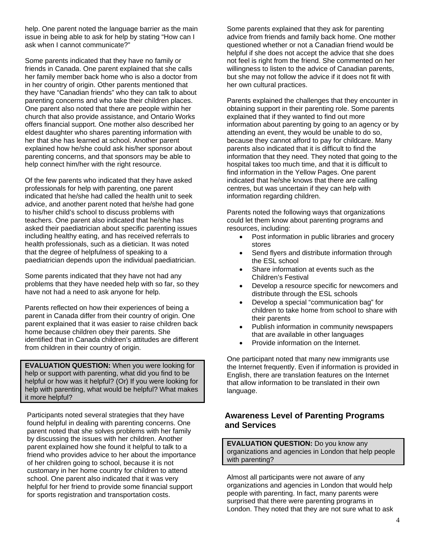help. One parent noted the language barrier as the main issue in being able to ask for help by stating "How can I ask when I cannot communicate?"

Some parents indicated that they have no family or friends in Canada. One parent explained that she calls her family member back home who is also a doctor from in her country of origin. Other parents mentioned that they have "Canadian friends" who they can talk to about parenting concerns and who take their children places. One parent also noted that there are people within her church that also provide assistance, and Ontario Works offers financial support. One mother also described her eldest daughter who shares parenting information with her that she has learned at school. Another parent explained how he/she could ask his/her sponsor about parenting concerns, and that sponsors may be able to help connect him/her with the right resource.

Of the few parents who indicated that they have asked professionals for help with parenting, one parent indicated that he/she had called the health unit to seek advice, and another parent noted that he/she had gone to his/her child's school to discuss problems with teachers. One parent also indicated that he/she has asked their paediatrician about specific parenting issues including healthy eating, and has received referrals to health professionals, such as a dietician. It was noted that the degree of helpfulness of speaking to a paediatrician depends upon the individual paediatrician.

Some parents indicated that they have not had any problems that they have needed help with so far, so they have not had a need to ask anyone for help.

Parents reflected on how their experiences of being a parent in Canada differ from their country of origin. One parent explained that it was easier to raise children back home because children obey their parents. She identified that in Canada children's attitudes are different from children in their country of origin.

**EVALUATION QUESTION:** When you were looking for help or support with parenting, what did you find to be helpful or how was it helpful? (Or) If you were looking for help with parenting, what would be helpful? What makes it more helpful?

Participants noted several strategies that they have found helpful in dealing with parenting concerns. One parent noted that she solves problems with her family by discussing the issues with her children. Another parent explained how she found it helpful to talk to a friend who provides advice to her about the importance of her children going to school, because it is not customary in her home country for children to attend school. One parent also indicated that it was very helpful for her friend to provide some financial support for sports registration and transportation costs.

Some parents explained that they ask for parenting advice from friends and family back home. One mother questioned whether or not a Canadian friend would be helpful if she does not accept the advice that she does not feel is right from the friend. She commented on her willingness to listen to the advice of Canadian parents, but she may not follow the advice if it does not fit with her own cultural practices.

Parents explained the challenges that they encounter in obtaining support in their parenting role. Some parents explained that if they wanted to find out more information about parenting by going to an agency or by attending an event, they would be unable to do so, because they cannot afford to pay for childcare. Many parents also indicated that it is difficult to find the information that they need. They noted that going to the hospital takes too much time, and that it is difficult to find information in the Yellow Pages. One parent indicated that he/she knows that there are calling centres, but was uncertain if they can help with information regarding children.

Parents noted the following ways that organizations could let them know about parenting programs and resources, including:

- Post information in public libraries and grocery stores
- Send flyers and distribute information through the ESL school
- Share information at events such as the Children's Festival
- Develop a resource specific for newcomers and distribute through the ESL schools
- Develop a special "communication bag" for children to take home from school to share with their parents
- Publish information in community newspapers that are available in other languages
- Provide information on the Internet.

One participant noted that many new immigrants use the Internet frequently. Even if information is provided in English, there are translation features on the Internet that allow information to be translated in their own language.

# **Awareness Level of Parenting Programs and Services**

**EVALUATION QUESTION:** Do you know any organizations and agencies in London that help people with parenting?

Almost all participants were not aware of any organizations and agencies in London that would help people with parenting. In fact, many parents were surprised that there were parenting programs in London. They noted that they are not sure what to ask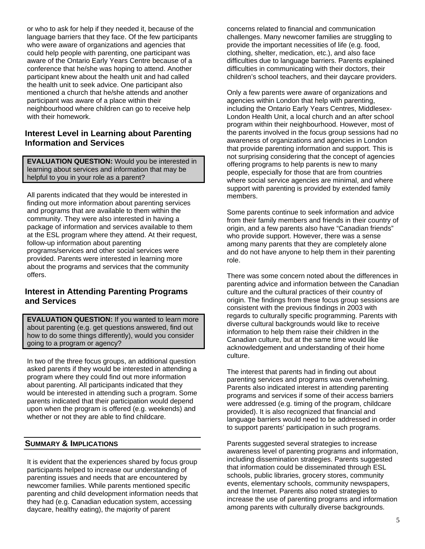or who to ask for help if they needed it, because of the language barriers that they face. Of the few participants who were aware of organizations and agencies that could help people with parenting, one participant was aware of the Ontario Early Years Centre because of a conference that he/she was hoping to attend. Another participant knew about the health unit and had called the health unit to seek advice. One participant also mentioned a church that he/she attends and another participant was aware of a place within their neighbourhood where children can go to receive help with their homework.

# **Interest Level in Learning about Parenting Information and Services**

**EVALUATION QUESTION:** Would you be interested in learning about services and information that may be helpful to you in your role as a parent?

All parents indicated that they would be interested in finding out more information about parenting services and programs that are available to them within the community. They were also interested in having a package of information and services available to them at the ESL program where they attend. At their request, follow-up information about parenting programs/services and other social services were provided. Parents were interested in learning more about the programs and services that the community offers.

# **Interest in Attending Parenting Programs and Services**

**EVALUATION QUESTION:** If you wanted to learn more about parenting (e.g. get questions answered, find out how to do some things differently), would you consider going to a program or agency?

In two of the three focus groups, an additional question asked parents if they would be interested in attending a program where they could find out more information about parenting. All participants indicated that they would be interested in attending such a program. Some parents indicated that their participation would depend upon when the program is offered (e.g. weekends) and whether or not they are able to find childcare.

# **SUMMARY & IMPLICATIONS**

It is evident that the experiences shared by focus group participants helped to increase our understanding of parenting issues and needs that are encountered by newcomer families. While parents mentioned specific parenting and child development information needs that they had (e.g. Canadian education system, accessing daycare, healthy eating), the majority of parent

concerns related to financial and communication challenges. Many newcomer families are struggling to provide the important necessities of life (e.g. food, clothing, shelter, medication, etc.), and also face difficulties due to language barriers. Parents explained difficulties in communicating with their doctors, their children's school teachers, and their daycare providers.

Only a few parents were aware of organizations and agencies within London that help with parenting, including the Ontario Early Years Centres, Middlesex-London Health Unit, a local church and an after school program within their neighbourhood. However, most of the parents involved in the focus group sessions had no awareness of organizations and agencies in London that provide parenting information and support. This is not surprising considering that the concept of agencies offering programs to help parents is new to many people, especially for those that are from countries where social service agencies are minimal, and where support with parenting is provided by extended family members.

Some parents continue to seek information and advice from their family members and friends in their country of origin, and a few parents also have "Canadian friends" who provide support. However, there was a sense among many parents that they are completely alone and do not have anyone to help them in their parenting role.

There was some concern noted about the differences in parenting advice and information between the Canadian culture and the cultural practices of their country of origin. The findings from these focus group sessions are consistent with the previous findings in 2003 with regards to culturally specific programming. Parents with diverse cultural backgrounds would like to receive information to help them raise their children in the Canadian culture, but at the same time would like acknowledgement and understanding of their home culture.

The interest that parents had in finding out about parenting services and programs was overwhelming. Parents also indicated interest in attending parenting programs and services if some of their access barriers were addressed (e.g. timing of the program, childcare provided). It is also recognized that financial and language barriers would need to be addressed in order to support parents' participation in such programs.

Parents suggested several strategies to increase awareness level of parenting programs and information, including dissemination strategies. Parents suggested that information could be disseminated through ESL schools, public libraries, grocery stores, community events, elementary schools, community newspapers, and the Internet. Parents also noted strategies to increase the use of parenting programs and information among parents with culturally diverse backgrounds.